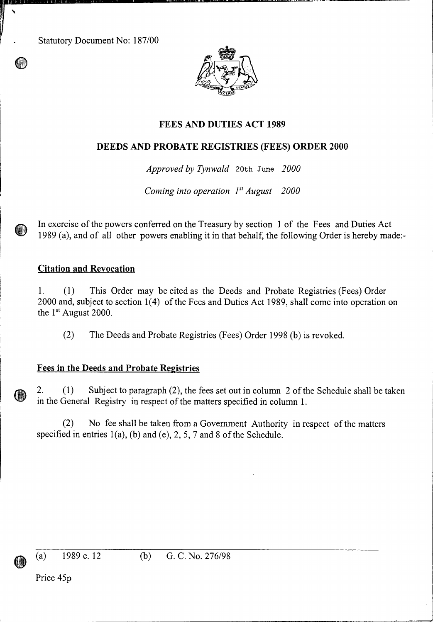Statutory Document No: 187/00



### **FEES AND DUTIES ACT 1989**

## **DEEDS AND PROBATE REGISTRIES (FEES) ORDER 2000**

*Approved by Tynwald* 20th June *2000* 

*Coming into operation l' August 2000* 

In exercise of the powers conferred on the Treasury by section 1 of the Fees and Duties Act 1989 (a), and of all other powers enabling it in that behalf, the following Order is hereby made:-

#### **Citation and Revocation**

1. (1) This Order may be cited as the Deeds and Probate Registries (Fees) Order 2000 and, subject to section 1(4) of the Fees and Duties Act 1989, shall come into operation on the  $1<sup>st</sup>$  August 2000.

(2) The Deeds and Probate Registries (Fees) Order 1998 (b) is revoked.

#### Fees **in the Deeds and Probate Registries**

2. (1) Subject to paragraph (2), the fees set out in column 2 of the Schedule shall be taken in the General Registry in respect of the matters specified in column 1.

(2) No fee shall be taken from a Government Authority in respect of the matters specified in entries  $1(a)$ , (b) and (e), 2, 5, 7 and 8 of the Schedule.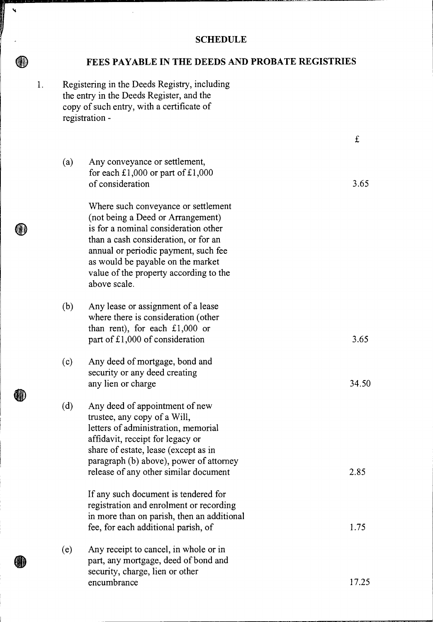# **SCHEDULE**

# **FEES PAYABLE IN THE DEEDS AND PROBATE REGISTRIES**

1. Registering in the Deeds Registry, including the entry in the Deeds Register, and the copy of such entry, with a certificate of registration -

 $\ddot{\phantom{0}}$ 

 $\textcircled{\tiny{1}}$ 

O)

**GM**)

0

|     |                                                                                                                                                                                                                                                                                                 | £     |
|-----|-------------------------------------------------------------------------------------------------------------------------------------------------------------------------------------------------------------------------------------------------------------------------------------------------|-------|
| (a) | Any conveyance or settlement,<br>for each £1,000 or part of £1,000<br>of consideration                                                                                                                                                                                                          | 3.65  |
|     | Where such conveyance or settlement<br>(not being a Deed or Arrangement)<br>is for a nominal consideration other<br>than a cash consideration, or for an<br>annual or periodic payment, such fee<br>as would be payable on the market<br>value of the property according to the<br>above scale. |       |
| (b) | Any lease or assignment of a lease<br>where there is consideration (other<br>than rent), for each $£1,000$ or<br>part of £1,000 of consideration                                                                                                                                                | 3.65  |
| (c) | Any deed of mortgage, bond and<br>security or any deed creating<br>any lien or charge                                                                                                                                                                                                           | 34.50 |
| (d) | Any deed of appointment of new<br>trustee, any copy of a Will,<br>letters of administration, memorial<br>affidavit, receipt for legacy or<br>share of estate, lease (except as in<br>paragraph (b) above), power of attorney<br>release of any other similar document                           | 2.85  |
|     | If any such document is tendered for<br>registration and enrolment or recording<br>in more than on parish, then an additional<br>fee, for each additional parish, of                                                                                                                            | 1.75  |
| (e) | Any receipt to cancel, in whole or in<br>part, any mortgage, deed of bond and<br>security, charge, lien or other<br>encumbrance                                                                                                                                                                 | 17.25 |